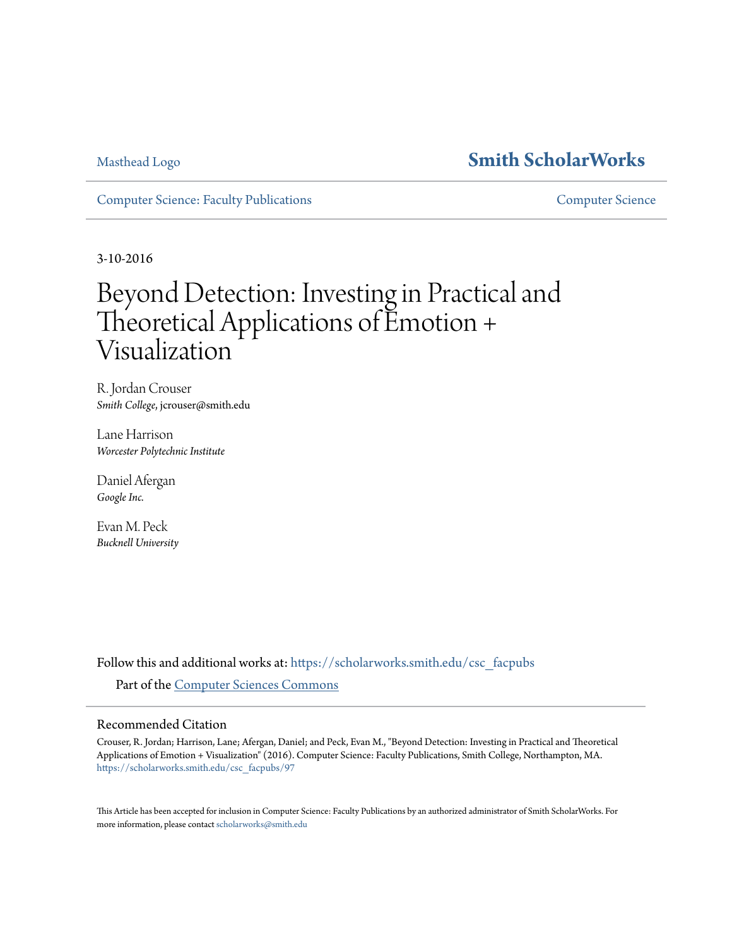## [Masthead Logo](http://www.smith.edu/?utm_source=scholarworks.smith.edu%2Fcsc_facpubs%2F97&utm_medium=PDF&utm_campaign=PDFCoverPages) **[Smith ScholarWorks](https://scholarworks.smith.edu?utm_source=scholarworks.smith.edu%2Fcsc_facpubs%2F97&utm_medium=PDF&utm_campaign=PDFCoverPages)**

[Computer Science: Faculty Publications](https://scholarworks.smith.edu/csc_facpubs?utm_source=scholarworks.smith.edu%2Fcsc_facpubs%2F97&utm_medium=PDF&utm_campaign=PDFCoverPages) [Computer Science](https://scholarworks.smith.edu/csc?utm_source=scholarworks.smith.edu%2Fcsc_facpubs%2F97&utm_medium=PDF&utm_campaign=PDFCoverPages)

3-10-2016

# Beyond Detection: Investing in Practical and Theoretical Applications of Emotion + Visualization

R. Jordan Crouser *Smith College*, jcrouser@smith.edu

Lane Harrison *Worcester Polytechnic Institute*

Daniel Afergan *Google Inc.*

Evan M. Peck *Bucknell University*

Follow this and additional works at: [https://scholarworks.smith.edu/csc\\_facpubs](https://scholarworks.smith.edu/csc_facpubs?utm_source=scholarworks.smith.edu%2Fcsc_facpubs%2F97&utm_medium=PDF&utm_campaign=PDFCoverPages) Part of the [Computer Sciences Commons](http://network.bepress.com/hgg/discipline/142?utm_source=scholarworks.smith.edu%2Fcsc_facpubs%2F97&utm_medium=PDF&utm_campaign=PDFCoverPages)

### Recommended Citation

Crouser, R. Jordan; Harrison, Lane; Afergan, Daniel; and Peck, Evan M., "Beyond Detection: Investing in Practical and Theoretical Applications of Emotion + Visualization" (2016). Computer Science: Faculty Publications, Smith College, Northampton, MA. [https://scholarworks.smith.edu/csc\\_facpubs/97](https://scholarworks.smith.edu/csc_facpubs/97?utm_source=scholarworks.smith.edu%2Fcsc_facpubs%2F97&utm_medium=PDF&utm_campaign=PDFCoverPages)

This Article has been accepted for inclusion in Computer Science: Faculty Publications by an authorized administrator of Smith ScholarWorks. For more information, please contact [scholarworks@smith.edu](mailto:scholarworks@smith.edu)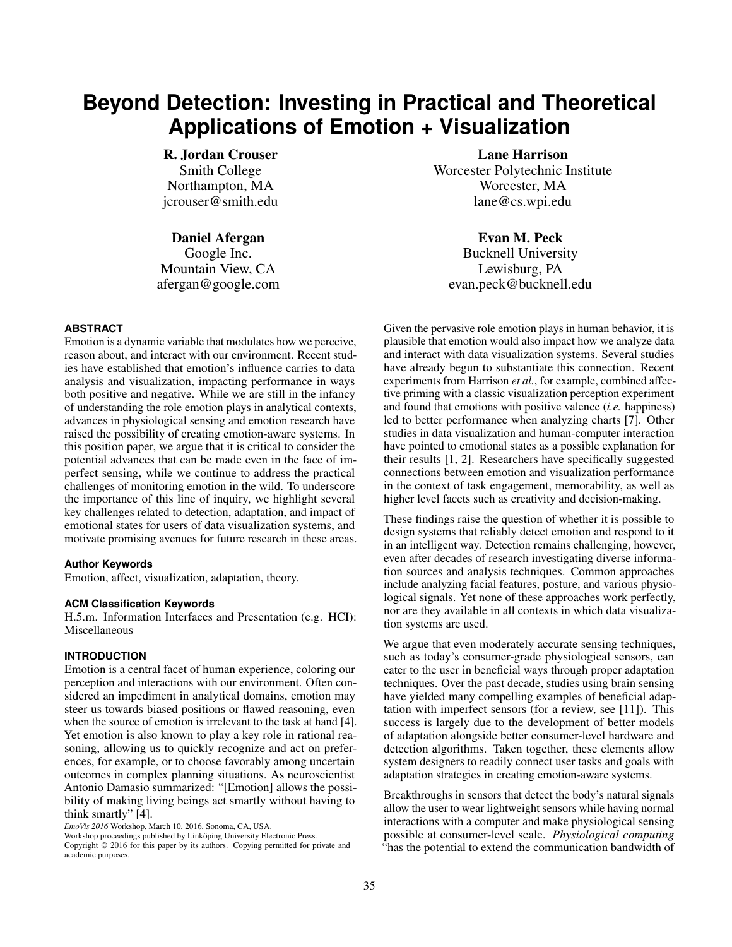# **Beyond Detection: Investing in Practical and Theoretical Applications of Emotion + Visualization**

R. Jordan Crouser Smith College Northampton, MA jcrouser@smith.edu

Daniel Afergan

Google Inc. Mountain View, CA afergan@google.com

#### **ABSTRACT**

Emotion is a dynamic variable that modulates how we perceive, reason about, and interact with our environment. Recent studies have established that emotion's influence carries to data analysis and visualization, impacting performance in ways both positive and negative. While we are still in the infancy of understanding the role emotion plays in analytical contexts, advances in physiological sensing and emotion research have raised the possibility of creating emotion-aware systems. In this position paper, we argue that it is critical to consider the potential advances that can be made even in the face of imperfect sensing, while we continue to address the practical challenges of monitoring emotion in the wild. To underscore the importance of this line of inquiry, we highlight several key challenges related to detection, adaptation, and impact of emotional states for users of data visualization systems, and motivate promising avenues for future research in these areas.

#### **Author Keywords**

Emotion, affect, visualization, adaptation, theory.

#### **ACM Classification Keywords**

H.5.m. Information Interfaces and Presentation (e.g. HCI): Miscellaneous

#### **INTRODUCTION**

Emotion is a central facet of human experience, coloring our perception and interactions with our environment. Often considered an impediment in analytical domains, emotion may steer us towards biased positions or flawed reasoning, even when the source of emotion is irrelevant to the task at hand [\[4\]](#page-4-0). Yet emotion is also known to play a key role in rational reasoning, allowing us to quickly recognize and act on preferences, for example, or to choose favorably among uncertain outcomes in complex planning situations. As neuroscientist Antonio Damasio summarized: "[Emotion] allows the possibility of making living beings act smartly without having to think smartly" [\[4\]](#page-4-0).

*EmoVis 2016* Workshop, March 10, 2016, Sonoma, CA, USA.

Workshop proceedings published by Linköping University Electronic Press.

Lane Harrison Worcester Polytechnic Institute Worcester, MA lane@cs.wpi.edu

Evan M. Peck

Bucknell University Lewisburg, PA evan.peck@bucknell.edu

Given the pervasive role emotion plays in human behavior, it is plausible that emotion would also impact how we analyze data and interact with data visualization systems. Several studies have already begun to substantiate this connection. Recent experiments from Harrison *et al.*, for example, combined affective priming with a classic visualization perception experiment and found that emotions with positive valence (*i.e.* happiness) led to better performance when analyzing charts [\[7\]](#page-4-1). Other studies in data visualization and human-computer interaction have pointed to emotional states as a possible explanation for their results [\[1,](#page-4-2) [2\]](#page-4-3). Researchers have specifically suggested connections between emotion and visualization performance in the context of task engagement, memorability, as well as higher level facets such as creativity and decision-making.

These findings raise the question of whether it is possible to design systems that reliably detect emotion and respond to it in an intelligent way. Detection remains challenging, however, even after decades of research investigating diverse information sources and analysis techniques. Common approaches include analyzing facial features, posture, and various physiological signals. Yet none of these approaches work perfectly, nor are they available in all contexts in which data visualization systems are used.

We argue that even moderately accurate sensing techniques, such as today's consumer-grade physiological sensors, can cater to the user in beneficial ways through proper adaptation techniques. Over the past decade, studies using brain sensing have yielded many compelling examples of beneficial adaptation with imperfect sensors (for a review, see [\[11\]](#page-4-4)). This success is largely due to the development of better models of adaptation alongside better consumer-level hardware and detection algorithms. Taken together, these elements allow system designers to readily connect user tasks and goals with adaptation strategies in creating emotion-aware systems.

Breakthroughs in sensors that detect the body's natural signals allow the user to wear lightweight sensors while having normal interactions with a computer and make physiological sensing possible at consumer-level scale. *Physiological computing* "has the potential to extend the communication bandwidth of

Copyright © 2016 for this paper by its authors. Copying permitted for private and academic purposes.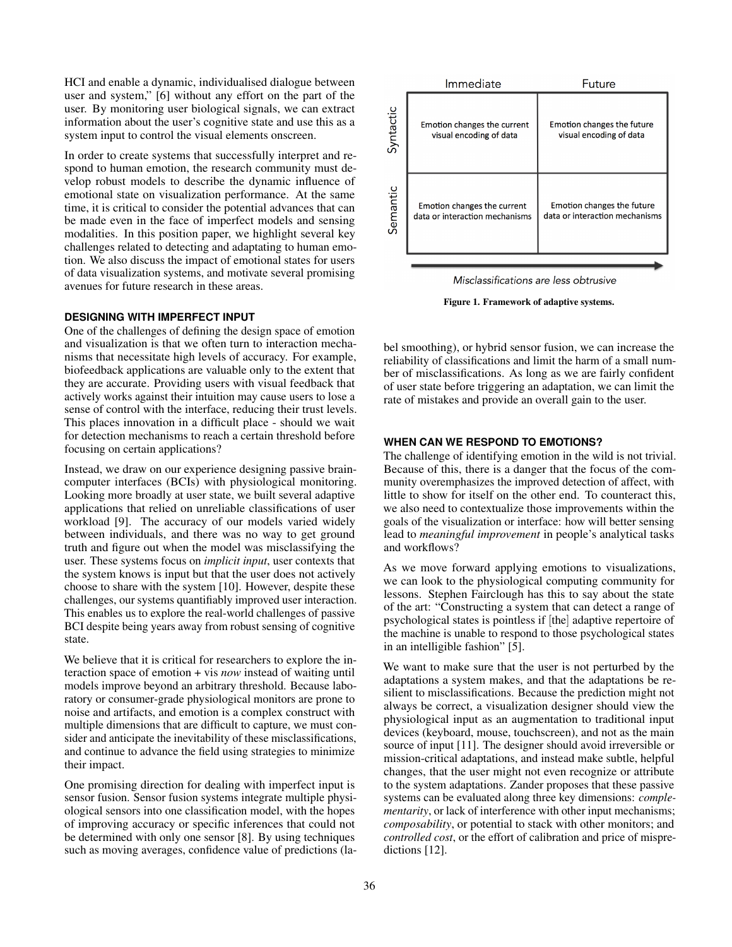HCI and enable a dynamic, individualised dialogue between user and system," [\[6\]](#page-4-5) without any effort on the part of the user. By monitoring user biological signals, we can extract information about the user's cognitive state and use this as a system input to control the visual elements onscreen.

In order to create systems that successfully interpret and respond to human emotion, the research community must develop robust models to describe the dynamic influence of emotional state on visualization performance. At the same time, it is critical to consider the potential advances that can be made even in the face of imperfect models and sensing modalities. In this position paper, we highlight several key challenges related to detecting and adaptating to human emotion. We also discuss the impact of emotional states for users of data visualization systems, and motivate several promising avenues for future research in these areas.

#### **DESIGNING WITH IMPERFECT INPUT**

One of the challenges of defining the design space of emotion and visualization is that we often turn to interaction mechanisms that necessitate high levels of accuracy. For example, biofeedback applications are valuable only to the extent that they are accurate. Providing users with visual feedback that actively works against their intuition may cause users to lose a sense of control with the interface, reducing their trust levels. This places innovation in a difficult place - should we wait for detection mechanisms to reach a certain threshold before focusing on certain applications?

Instead, we draw on our experience designing passive braincomputer interfaces (BCIs) with physiological monitoring. Looking more broadly at user state, we built several adaptive applications that relied on unreliable classifications of user workload [\[9\]](#page-4-6). The accuracy of our models varied widely between individuals, and there was no way to get ground truth and figure out when the model was misclassifying the user. These systems focus on *implicit input*, user contexts that the system knows is input but that the user does not actively choose to share with the system [\[10\]](#page-4-7). However, despite these challenges, our systems quantifiably improved user interaction. This enables us to explore the real-world challenges of passive BCI despite being years away from robust sensing of cognitive state.

We believe that it is critical for researchers to explore the interaction space of emotion + vis *now* instead of waiting until models improve beyond an arbitrary threshold. Because laboratory or consumer-grade physiological monitors are prone to noise and artifacts, and emotion is a complex construct with multiple dimensions that are difficult to capture, we must consider and anticipate the inevitability of these misclassifications, and continue to advance the field using strategies to minimize their impact.

One promising direction for dealing with imperfect input is sensor fusion. Sensor fusion systems integrate multiple physiological sensors into one classification model, with the hopes of improving accuracy or specific inferences that could not be determined with only one sensor [\[8\]](#page-4-8). By using techniques such as moving averages, confidence value of predictions (la-



Misclassifications are less obtrusive

<span id="page-2-0"></span>Figure 1. Framework of adaptive systems.

bel smoothing), or hybrid sensor fusion, we can increase the reliability of classifications and limit the harm of a small number of misclassifications. As long as we are fairly confident of user state before triggering an adaptation, we can limit the rate of mistakes and provide an overall gain to the user.

#### **WHEN CAN WE RESPOND TO EMOTIONS?**

The challenge of identifying emotion in the wild is not trivial. Because of this, there is a danger that the focus of the community overemphasizes the improved detection of affect, with little to show for itself on the other end. To counteract this, we also need to contextualize those improvements within the goals of the visualization or interface: how will better sensing lead to *meaningful improvement* in people's analytical tasks and workflows?

As we move forward applying emotions to visualizations, we can look to the physiological computing community for lessons. Stephen Fairclough has this to say about the state of the art: "Constructing a system that can detect a range of psychological states is pointless if [the] adaptive repertoire of the machine is unable to respond to those psychological states in an intelligible fashion" [\[5\]](#page-4-9).

We want to make sure that the user is not perturbed by the adaptations a system makes, and that the adaptations be resilient to misclassifications. Because the prediction might not always be correct, a visualization designer should view the physiological input as an augmentation to traditional input devices (keyboard, mouse, touchscreen), and not as the main source of input [\[11\]](#page-4-4). The designer should avoid irreversible or mission-critical adaptations, and instead make subtle, helpful changes, that the user might not even recognize or attribute to the system adaptations. Zander proposes that these passive systems can be evaluated along three key dimensions: *complementarity*, or lack of interference with other input mechanisms; *composability*, or potential to stack with other monitors; and *controlled cost*, or the effort of calibration and price of mispredictions [\[12\]](#page-4-10).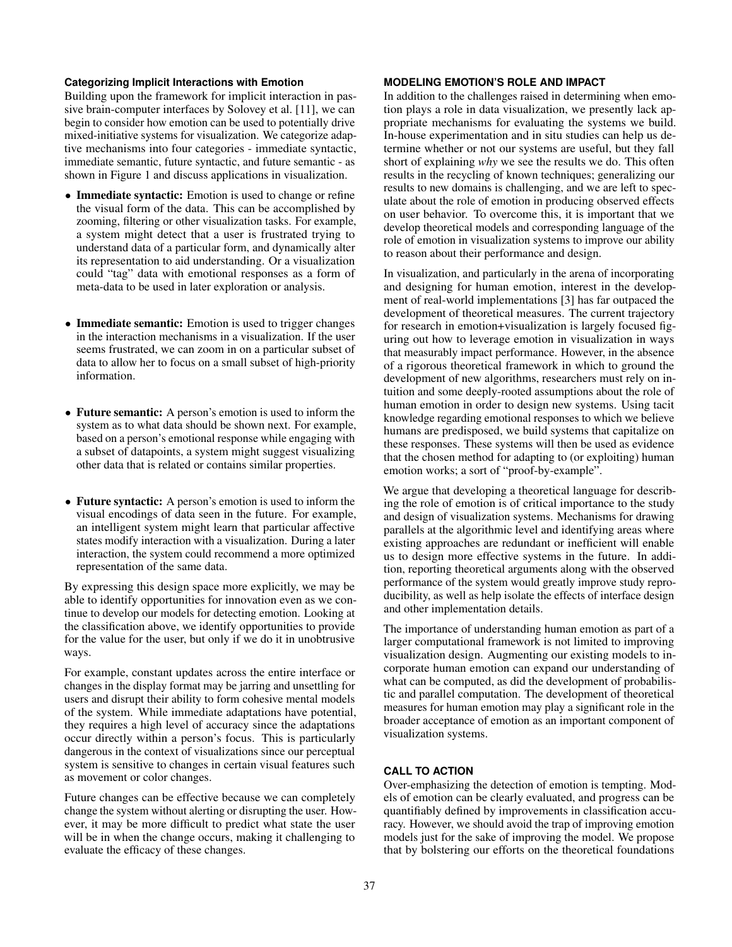#### **Categorizing Implicit Interactions with Emotion**

Building upon the framework for implicit interaction in passive brain-computer interfaces by Solovey et al. [\[11\]](#page-4-4), we can begin to consider how emotion can be used to potentially drive mixed-initiative systems for visualization. We categorize adaptive mechanisms into four categories - immediate syntactic, immediate semantic, future syntactic, and future semantic - as shown in Figure [1](#page-2-0) and discuss applications in visualization.

- Immediate syntactic: Emotion is used to change or refine the visual form of the data. This can be accomplished by zooming, filtering or other visualization tasks. For example, a system might detect that a user is frustrated trying to understand data of a particular form, and dynamically alter its representation to aid understanding. Or a visualization could "tag" data with emotional responses as a form of meta-data to be used in later exploration or analysis.
- Immediate semantic: Emotion is used to trigger changes in the interaction mechanisms in a visualization. If the user seems frustrated, we can zoom in on a particular subset of data to allow her to focus on a small subset of high-priority information.
- Future semantic: A person's emotion is used to inform the system as to what data should be shown next. For example, based on a person's emotional response while engaging with a subset of datapoints, a system might suggest visualizing other data that is related or contains similar properties.
- Future syntactic: A person's emotion is used to inform the visual encodings of data seen in the future. For example, an intelligent system might learn that particular affective states modify interaction with a visualization. During a later interaction, the system could recommend a more optimized representation of the same data.

By expressing this design space more explicitly, we may be able to identify opportunities for innovation even as we continue to develop our models for detecting emotion. Looking at the classification above, we identify opportunities to provide for the value for the user, but only if we do it in unobtrusive ways.

For example, constant updates across the entire interface or changes in the display format may be jarring and unsettling for users and disrupt their ability to form cohesive mental models of the system. While immediate adaptations have potential, they requires a high level of accuracy since the adaptations occur directly within a person's focus. This is particularly dangerous in the context of visualizations since our perceptual system is sensitive to changes in certain visual features such as movement or color changes.

Future changes can be effective because we can completely change the system without alerting or disrupting the user. However, it may be more difficult to predict what state the user will be in when the change occurs, making it challenging to evaluate the efficacy of these changes.

#### **MODELING EMOTION'S ROLE AND IMPACT**

In addition to the challenges raised in determining when emotion plays a role in data visualization, we presently lack appropriate mechanisms for evaluating the systems we build. In-house experimentation and in situ studies can help us determine whether or not our systems are useful, but they fall short of explaining *why* we see the results we do. This often results in the recycling of known techniques; generalizing our results to new domains is challenging, and we are left to speculate about the role of emotion in producing observed effects on user behavior. To overcome this, it is important that we develop theoretical models and corresponding language of the role of emotion in visualization systems to improve our ability to reason about their performance and design.

In visualization, and particularly in the arena of incorporating and designing for human emotion, interest in the development of real-world implementations [\[3\]](#page-4-11) has far outpaced the development of theoretical measures. The current trajectory for research in emotion+visualization is largely focused figuring out how to leverage emotion in visualization in ways that measurably impact performance. However, in the absence of a rigorous theoretical framework in which to ground the development of new algorithms, researchers must rely on intuition and some deeply-rooted assumptions about the role of human emotion in order to design new systems. Using tacit knowledge regarding emotional responses to which we believe humans are predisposed, we build systems that capitalize on these responses. These systems will then be used as evidence that the chosen method for adapting to (or exploiting) human emotion works; a sort of "proof-by-example".

We argue that developing a theoretical language for describing the role of emotion is of critical importance to the study and design of visualization systems. Mechanisms for drawing parallels at the algorithmic level and identifying areas where existing approaches are redundant or inefficient will enable us to design more effective systems in the future. In addition, reporting theoretical arguments along with the observed performance of the system would greatly improve study reproducibility, as well as help isolate the effects of interface design and other implementation details.

The importance of understanding human emotion as part of a larger computational framework is not limited to improving visualization design. Augmenting our existing models to incorporate human emotion can expand our understanding of what can be computed, as did the development of probabilistic and parallel computation. The development of theoretical measures for human emotion may play a significant role in the broader acceptance of emotion as an important component of visualization systems.

#### **CALL TO ACTION**

Over-emphasizing the detection of emotion is tempting. Models of emotion can be clearly evaluated, and progress can be quantifiably defined by improvements in classification accuracy. However, we should avoid the trap of improving emotion models just for the sake of improving the model. We propose that by bolstering our efforts on the theoretical foundations